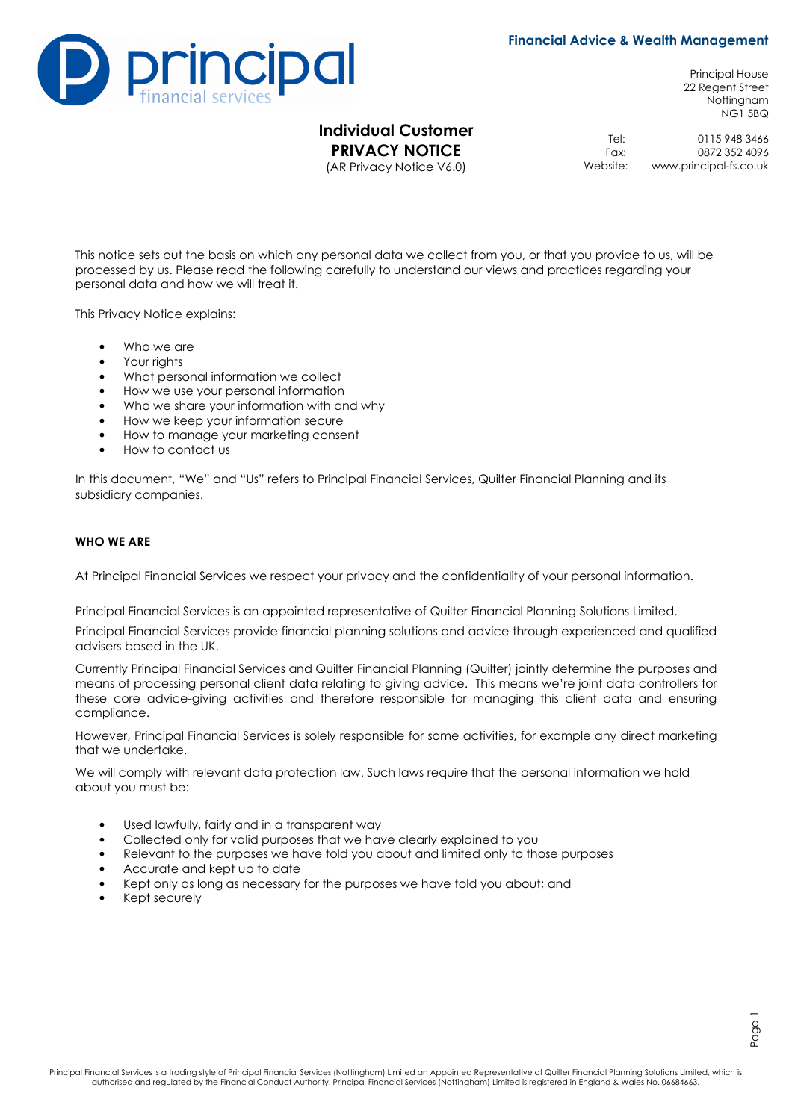## **Financial Advice & Wealth Management**



# **Individual Customer PRIVACY NOTICE**

(AR Privacy Notice V6.0)

Principal House 22 Regent Street Nottingham NG1 5BQ

Tel: 0115 948 3466<br>Fax: 0872 352 4096 Fax: 0872 352 4096<br>Website: www.principal-fs.co.uk www.principal-fs.co.uk

This notice sets out the basis on which any personal data we collect from you, or that you provide to us, will be processed by us. Please read the following carefully to understand our views and practices regarding your personal data and how we will treat it.

This Privacy Notice explains:

- Who we are
- Your rights
- What personal information we collect
- How we use your personal information
- Who we share your information with and why
- How we keep your information secure
- How to manage your marketing consent
- How to contact us

In this document, "We" and "Us" refers to Principal Financial Services, Quilter Financial Planning and its subsidiary companies.

#### **WHO WE ARE**

At Principal Financial Services we respect your privacy and the confidentiality of your personal information.

Principal Financial Services is an appointed representative of Quilter Financial Planning Solutions Limited.

Principal Financial Services provide financial planning solutions and advice through experienced and qualified advisers based in the UK.

Currently Principal Financial Services and Quilter Financial Planning (Quilter) jointly determine the purposes and means of processing personal client data relating to giving advice. This means we're joint data controllers for these core advice-giving activities and therefore responsible for managing this client data and ensuring compliance.

However, Principal Financial Services is solely responsible for some activities, for example any direct marketing that we undertake.

We will comply with relevant data protection law. Such laws require that the personal information we hold about you must be:

- Used lawfully, fairly and in a transparent way
- Collected only for valid purposes that we have clearly explained to you
- Relevant to the purposes we have told you about and limited only to those purposes
- Accurate and kept up to date
- Kept only as long as necessary for the purposes we have told you about; and
- Kept securely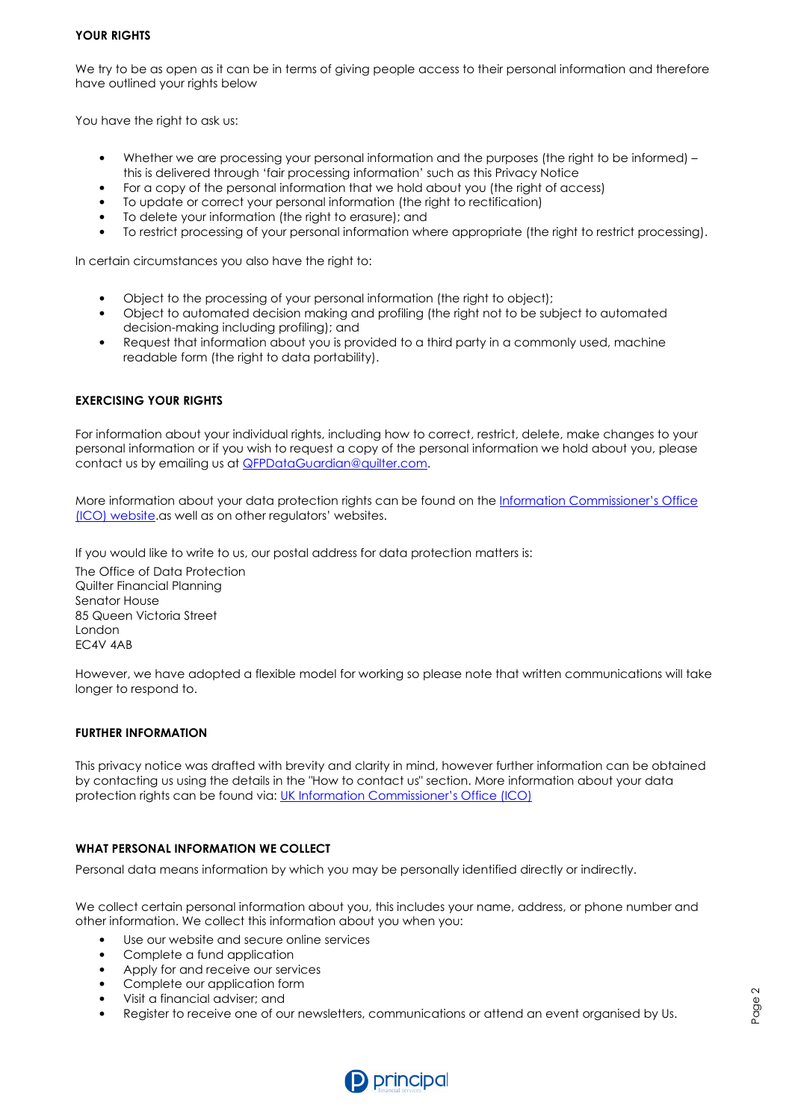### **YOUR RIGHTS**

We try to be as open as it can be in terms of giving people access to their personal information and therefore have outlined your rights below

You have the right to ask us:

- Whether we are processing your personal information and the purposes (the right to be informed) this is delivered through 'fair processing information' such as this Privacy Notice
- For a copy of the personal information that we hold about you (the right of access)
- To update or correct your personal information (the right to rectification)
- To delete your information (the right to erasure); and
- To restrict processing of your personal information where appropriate (the right to restrict processing).

In certain circumstances you also have the right to:

- Object to the processing of your personal information (the right to object);
- Object to automated decision making and profiling (the right not to be subject to automated decision-making including profiling); and
- Request that information about you is provided to a third party in a commonly used, machine readable form (the right to data portability).

## **EXERCISING YOUR RIGHTS**

For information about your individual rights, including how to correct, restrict, delete, make changes to your personal information or if you wish to request a copy of the personal information we hold about you, please contact us by emailing us at **QFPDataGuardian@quilter.com.** 

More information about your data protection rights can be found on the Information Commissioner's Office (ICO) website.as well as on other regulators' websites.

If you would like to write to us, our postal address for data protection matters is:

The Office of Data Protection Quilter Financial Planning Senator House 85 Queen Victoria Street London EC4V 4AB

However, we have adopted a flexible model for working so please note that written communications will take longer to respond to.

## **FURTHER INFORMATION**

This privacy notice was drafted with brevity and clarity in mind, however further information can be obtained by contacting us using the details in the "How to contact us" section. More information about your data protection rights can be found via: UK Information Commissioner's Office (ICO)

## **WHAT PERSONAL INFORMATION WE COLLECT**

Personal data means information by which you may be personally identified directly or indirectly.

We collect certain personal information about you, this includes your name, address, or phone number and other information. We collect this information about you when you:

- Use our website and secure online services
- Complete a fund application
- Apply for and receive our services
- Complete our application form
- Visit a financial adviser; and
- Register to receive one of our newsletters, communications or attend an event organised by Us.



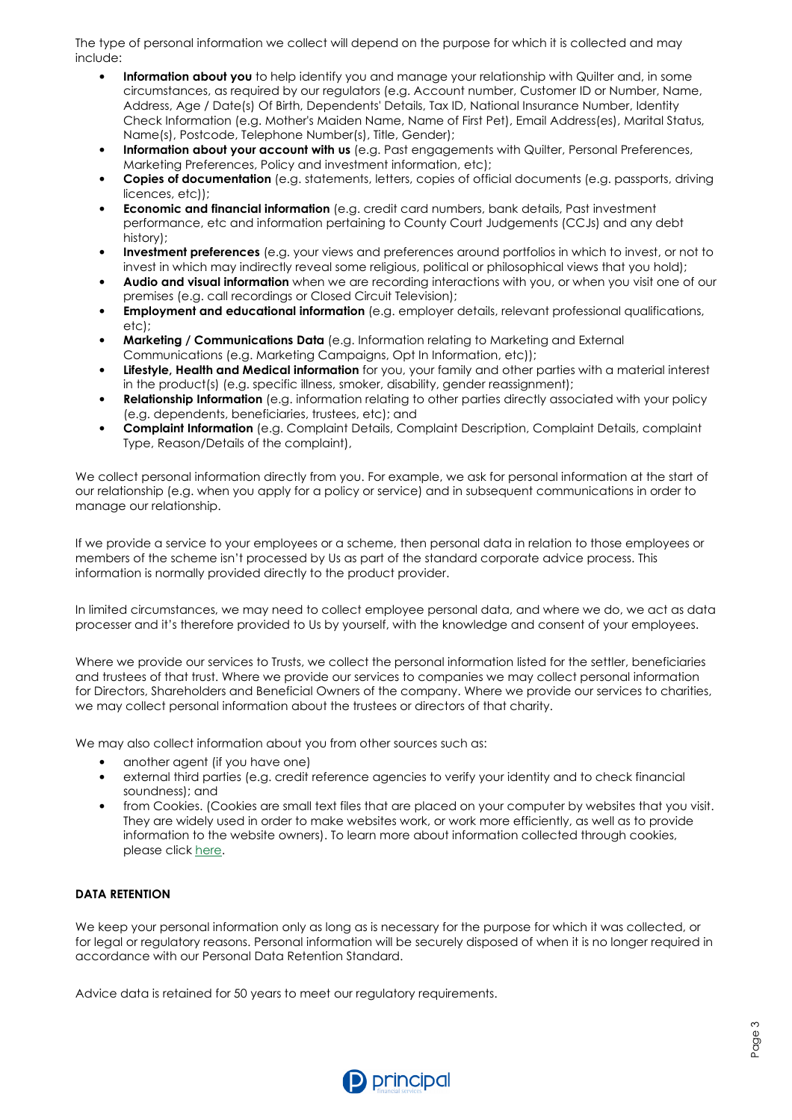The type of personal information we collect will depend on the purpose for which it is collected and may include:

- **Information about you** to help identify you and manage your relationship with Quilter and, in some circumstances, as required by our regulators (e.g. Account number, Customer ID or Number, Name, Address, Age / Date(s) Of Birth, Dependents' Details, Tax ID, National Insurance Number, Identity Check Information (e.g. Mother's Maiden Name, Name of First Pet), Email Address(es), Marital Status, Name(s), Postcode, Telephone Number(s), Title, Gender);
- **Information about your account with us** (e.g. Past engagements with Quilter, Personal Preferences, Marketing Preferences, Policy and investment information, etc);
- **Copies of documentation** (e.g. statements, letters, copies of official documents (e.g. passports, driving licences, etc));
- **Economic and financial information** (e.g. credit card numbers, bank details, Past investment performance, etc and information pertaining to County Court Judgements (CCJs) and any debt history);
- **Investment preferences** (e.g. your views and preferences around portfolios in which to invest, or not to invest in which may indirectly reveal some religious, political or philosophical views that you hold);
- **Audio and visual information** when we are recording interactions with you, or when you visit one of our premises (e.g. call recordings or Closed Circuit Television);
- **Employment and educational information** (e.g. employer details, relevant professional qualifications, etc);
- **Marketing / Communications Data** (e.g. Information relating to Marketing and External Communications (e.g. Marketing Campaigns, Opt In Information, etc));
- **Lifestyle, Health and Medical information** for you, your family and other parties with a material interest in the product(s) (e.g. specific illness, smoker, disability, gender reassignment);
- **Relationship Information** (e.g. information relating to other parties directly associated with your policy (e.g. dependents, beneficiaries, trustees, etc); and
- **Complaint Information** (e.g. Complaint Details, Complaint Description, Complaint Details, complaint Type, Reason/Details of the complaint),

We collect personal information directly from you. For example, we ask for personal information at the start of our relationship (e.g. when you apply for a policy or service) and in subsequent communications in order to manage our relationship.

If we provide a service to your employees or a scheme, then personal data in relation to those employees or members of the scheme isn't processed by Us as part of the standard corporate advice process. This information is normally provided directly to the product provider.

In limited circumstances, we may need to collect employee personal data, and where we do, we act as data processer and it's therefore provided to Us by yourself, with the knowledge and consent of your employees.

Where we provide our services to Trusts, we collect the personal information listed for the settler, beneficiaries and trustees of that trust. Where we provide our services to companies we may collect personal information for Directors, Shareholders and Beneficial Owners of the company. Where we provide our services to charities, we may collect personal information about the trustees or directors of that charity.

We may also collect information about you from other sources such as:

- another agent (if you have one)
- external third parties (e.g. credit reference agencies to verify your identity and to check financial soundness); and
- from Cookies. (Cookies are small text files that are placed on your computer by websites that you visit. They are widely used in order to make websites work, or work more efficiently, as well as to provide information to the website owners). To learn more about information collected through cookies, please click here.

## **DATA RETENTION**

We keep your personal information only as long as is necessary for the purpose for which it was collected, or for legal or regulatory reasons. Personal information will be securely disposed of when it is no longer required in accordance with our Personal Data Retention Standard.

Advice data is retained for 50 years to meet our regulatory requirements.

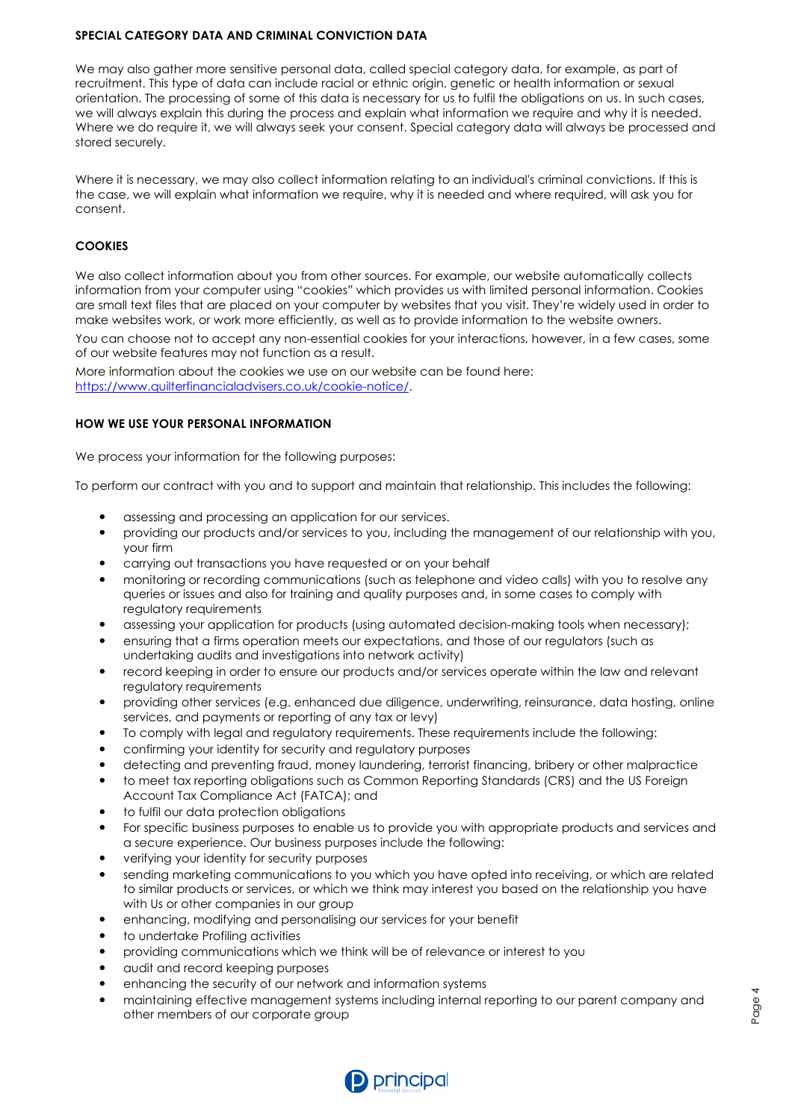### **SPECIAL CATEGORY DATA AND CRIMINAL CONVICTION DATA**

We may also gather more sensitive personal data, called special category data, for example, as part of recruitment. This type of data can include racial or ethnic origin, genetic or health information or sexual orientation. The processing of some of this data is necessary for us to fulfil the obligations on us. In such cases, we will always explain this during the process and explain what information we require and why it is needed. Where we do require it, we will always seek your consent. Special category data will always be processed and stored securely.

Where it is necessary, we may also collect information relating to an individual's criminal convictions. If this is the case, we will explain what information we require, why it is needed and where required, will ask you for consent.

# **COOKIES**

We also collect information about you from other sources. For example, our website automatically collects information from your computer using "cookies" which provides us with limited personal information. Cookies are small text files that are placed on your computer by websites that you visit. They're widely used in order to make websites work, or work more efficiently, as well as to provide information to the website owners.

You can choose not to accept any non-essential cookies for your interactions, however, in a few cases, some of our website features may not function as a result.

More information about the cookies we use on our website can be found here: https://www.quilterfinancialadvisers.co.uk/cookie-notice/.

## **HOW WE USE YOUR PERSONAL INFORMATION**

We process your information for the following purposes:

To perform our contract with you and to support and maintain that relationship. This includes the following:

- assessing and processing an application for our services.
- providing our products and/or services to you, including the management of our relationship with you, your firm
- carrying out transactions you have requested or on your behalf
- monitoring or recording communications (such as telephone and video calls) with you to resolve any queries or issues and also for training and quality purposes and, in some cases to comply with regulatory requirements
- assessing your application for products (using automated decision-making tools when necessary);
- ensuring that a firms operation meets our expectations, and those of our regulators (such as undertaking audits and investigations into network activity)
- record keeping in order to ensure our products and/or services operate within the law and relevant regulatory requirements
- providing other services (e.g. enhanced due diligence, underwriting, reinsurance, data hosting, online services, and payments or reporting of any tax or levy)
- To comply with legal and regulatory requirements. These requirements include the following:
- confirming your identity for security and regulatory purposes
- detecting and preventing fraud, money laundering, terrorist financing, bribery or other malpractice
- to meet tax reporting obligations such as Common Reporting Standards (CRS) and the US Foreign Account Tax Compliance Act (FATCA); and
- to fulfil our data protection obligations
- For specific business purposes to enable us to provide you with appropriate products and services and a secure experience. Our business purposes include the following:
- verifying your identity for security purposes
- sending marketing communications to you which you have opted into receiving, or which are related to similar products or services, or which we think may interest you based on the relationship you have with Us or other companies in our group
- enhancing, modifying and personalising our services for your benefit
- to undertake Profiling activities
- providing communications which we think will be of relevance or interest to you
- audit and record keeping purposes
- enhancing the security of our network and information systems
- maintaining effective management systems including internal reporting to our parent company and other members of our corporate group

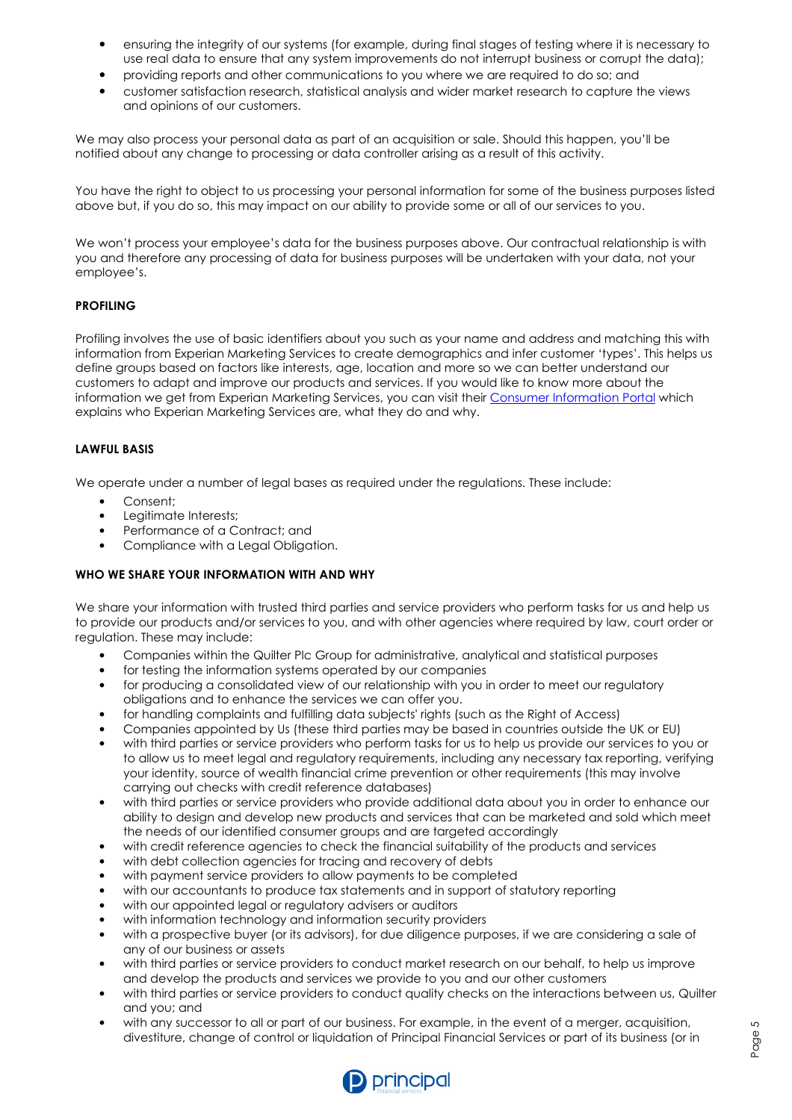- ensuring the integrity of our systems (for example, during final stages of testing where it is necessary to use real data to ensure that any system improvements do not interrupt business or corrupt the data);
- providing reports and other communications to you where we are required to do so; and
- customer satisfaction research, statistical analysis and wider market research to capture the views and opinions of our customers.

We may also process your personal data as part of an acquisition or sale. Should this happen, you'll be notified about any change to processing or data controller arising as a result of this activity.

You have the right to object to us processing your personal information for some of the business purposes listed above but, if you do so, this may impact on our ability to provide some or all of our services to you.

We won't process your employee's data for the business purposes above. Our contractual relationship is with you and therefore any processing of data for business purposes will be undertaken with your data, not your employee's.

# **PROFILING**

Profiling involves the use of basic identifiers about you such as your name and address and matching this with information from Experian Marketing Services to create demographics and infer customer 'types'. This helps us define groups based on factors like interests, age, location and more so we can better understand our customers to adapt and improve our products and services. If you would like to know more about the information we get from Experian Marketing Services, you can visit their Consumer Information Portal which explains who Experian Marketing Services are, what they do and why.

## **LAWFUL BASIS**

We operate under a number of legal bases as required under the regulations. These include:

- Consent;
- Legitimate Interests;
- Performance of a Contract; and
- Compliance with a Legal Obligation.

## **WHO WE SHARE YOUR INFORMATION WITH AND WHY**

We share your information with trusted third parties and service providers who perform tasks for us and help us to provide our products and/or services to you, and with other agencies where required by law, court order or regulation. These may include:

- Companies within the Quilter Plc Group for administrative, analytical and statistical purposes
- for testing the information systems operated by our companies
- for producing a consolidated view of our relationship with you in order to meet our regulatory obligations and to enhance the services we can offer you.
- for handling complaints and fulfilling data subjects' rights (such as the Right of Access)
- Companies appointed by Us (these third parties may be based in countries outside the UK or EU)
- with third parties or service providers who perform tasks for us to help us provide our services to you or to allow us to meet legal and regulatory requirements, including any necessary tax reporting, verifying your identity, source of wealth financial crime prevention or other requirements (this may involve carrying out checks with credit reference databases)
- with third parties or service providers who provide additional data about you in order to enhance our ability to design and develop new products and services that can be marketed and sold which meet the needs of our identified consumer groups and are targeted accordingly
- with credit reference agencies to check the financial suitability of the products and services
- with debt collection agencies for tracing and recovery of debts
- with payment service providers to allow payments to be completed
- with our accountants to produce tax statements and in support of statutory reporting
- with our appointed legal or regulatory advisers or auditors
- with information technology and information security providers
- with a prospective buyer (or its advisors), for due diligence purposes, if we are considering a sale of any of our business or assets
- with third parties or service providers to conduct market research on our behalf, to help us improve and develop the products and services we provide to you and our other customers
- with third parties or service providers to conduct quality checks on the interactions between us, Quilter and you; and
- with any successor to all or part of our business. For example, in the event of a merger, acquisition, divestiture, change of control or liquidation of Principal Financial Services or part of its business (or in

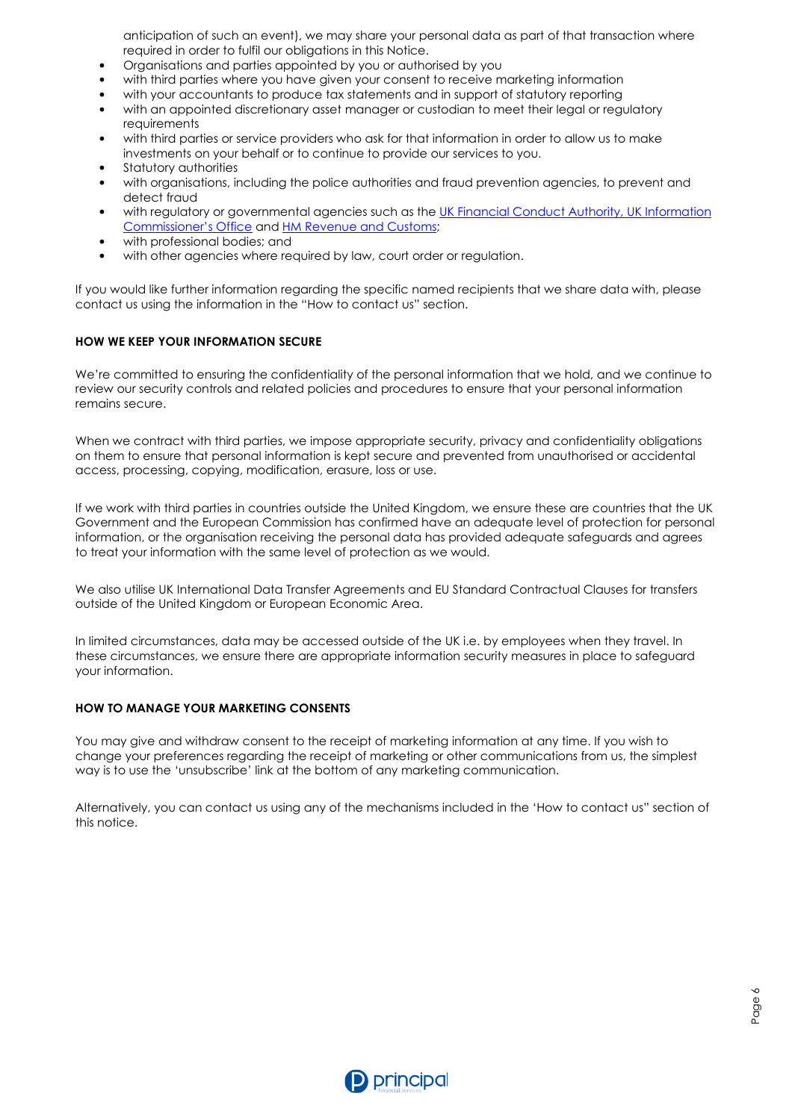anticipation of such an event), we may share your personal data as part of that transaction where required in order to fulfil our obligations in this Notice.

- Organisations and parties appointed by you or authorised by you
- with third parties where you have given your consent to receive marketing information
- with your accountants to produce tax statements and in support of statutory reporting
- with an appointed discretionary asset manager or custodian to meet their legal or regulatory requirements
- with third parties or service providers who ask for that information in order to allow us to make investments on your behalf or to continue to provide our services to you.
- Statutory authorities
- with organisations, including the police authorities and fraud prevention agencies, to prevent and detect fraud
- with regulatory or governmental agencies such as the UK Financial Conduct Authority, UK Information Commissioner's Office and HM Revenue and Customs;
- with professional bodies; and
- with other agencies where required by law, court order or regulation.

If you would like further information regarding the specific named recipients that we share data with, please contact us using the information in the "How to contact us" section.

## **HOW WE KEEP YOUR INFORMATION SECURE**

We're committed to ensuring the confidentiality of the personal information that we hold, and we continue to review our security controls and related policies and procedures to ensure that your personal information remains secure.

When we contract with third parties, we impose appropriate security, privacy and confidentiality obligations on them to ensure that personal information is kept secure and prevented from unauthorised or accidental access, processing, copying, modification, erasure, loss or use.

If we work with third parties in countries outside the United Kingdom, we ensure these are countries that the UK Government and the European Commission has confirmed have an adequate level of protection for personal information, or the organisation receiving the personal data has provided adequate safeguards and agrees to treat your information with the same level of protection as we would.

We also utilise UK International Data Transfer Agreements and EU Standard Contractual Clauses for transfers outside of the United Kingdom or European Economic Area.

In limited circumstances, data may be accessed outside of the UK i.e. by employees when they travel. In these circumstances, we ensure there are appropriate information security measures in place to safeguard your information.

## **HOW TO MANAGE YOUR MARKETING CONSENTS**

You may give and withdraw consent to the receipt of marketing information at any time. If you wish to change your preferences regarding the receipt of marketing or other communications from us, the simplest way is to use the 'unsubscribe' link at the bottom of any marketing communication.

Alternatively, you can contact us using any of the mechanisms included in the 'How to contact us" section of this notice.